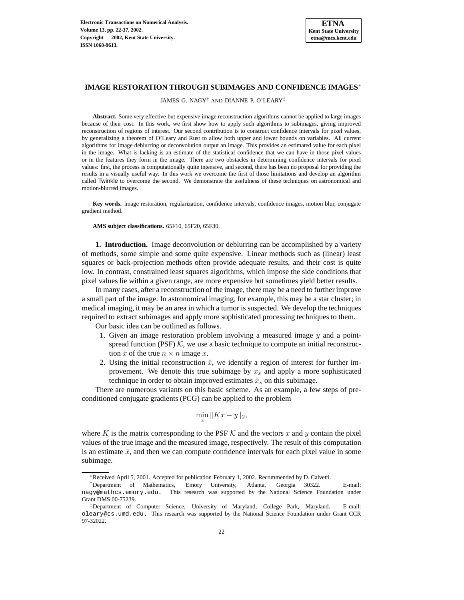

## **IMAGE RESTORATION THROUGH SUBIMAGES AND CONFIDENCE IMAGES**<sup>∗</sup>

JAMES G. NAGY† AND DIANNE P. O'LEARY‡

**Abstract.** Some very effective but expensive image reconstruction algorithms cannot be applied to large images because of their cost. In this work, we first show how to apply such algorithms to subimages, giving improved reconstruction of regions of interest. Our second contribution is to construct confidence intervals for pixel values, by generalizing a theorem of O'Leary and Rust to allow both upper and lower bounds on variables. All current algorithms for image deblurring or deconvolution output an image. This provides an estimated value for each pixel in the image. What is lacking is an estimate of the statistical confidence that we can have in those pixel values or in the features they form in the image. There are two obstacles in determining confidence intervals for pixel values: first, the process is computationally quite intensive, and second, there has been no proposal for providing the results in a visually useful way. In this work we overcome the first of those limitations and develop an algorithm called Twinkle to overcome the second. We demonstrate the usefulness of these techniques on astronomical and motion-blurred images.

**Key words.** image restoration, regularization, confidence intervals, confidence images, motion blur, conjugate gradient method.

**AMS subject classifications.** 65F10, 65F20, 65F30.

**1. Introduction.** Image deconvolution or deblurring can be accomplished by a variety of methods, some simple and some quite expensive. Linear methods such as (linear) least squares or back-projection methods often provide adequate results, and their cost is quite low. In contrast, constrained least squares algorithms, which impose the side conditions that pixel values lie within a given range, are more expensive but sometimes yield better results.

In many cases, after a reconstruction of the image, there may be a need to further improve a small part of the image. In astronomical imaging, for example, this may be a star cluster; in medical imaging, it may be an area in which a tumor is suspected. We develop the techniques required to extract subimages and apply more sophisticated processing techniques to them.

Our basic idea can be outlined as follows.

- 1. Given an image restoration problem involving a measured image y and a pointspread function (PSF)  $K$ , we use a basic technique to compute an initial reconstruction  $\hat{x}$  of the true  $n \times n$  image x.
- 2. Using the initial reconstruction  $\hat{x}$ , we identify a region of interest for further improvement. We denote this true subimage by  $x_s$  and apply a more sophisticated technique in order to obtain improved estimates  $\tilde{x}_s$  on this subimage.

There are numerous variants on this basic scheme. As an example, a few steps of preconditioned conjugate gradients (PCG) can be applied to the problem

$$
\min_x \|Kx - y\|_2,
$$

where K is the matrix corresponding to the PSF  $K$  and the vectors x and y contain the pixel values of the true image and the measured image, respectively. The result of this computation is an estimate  $\hat{x}$ , and then we can compute confidence intervals for each pixel value in some subimage.

<sup>∗</sup>Received April 5, 2001. Accepted for publication February 1, 2002. Recommended by D. Calvetti.

<sup>†</sup>Department of Mathematics, Emory University, Atlanta, Georgia 30322. E-mail: nagy@mathcs.emory.edu. This research was supported by the National Science Foundation under Grant DMS 00-75239.

<sup>‡</sup>Department of Computer Science, University of Maryland, College Park, Maryland. E-mail: oleary@cs.umd.edu. This research was supported by the National Science Foundation under Grant CCR 97-32022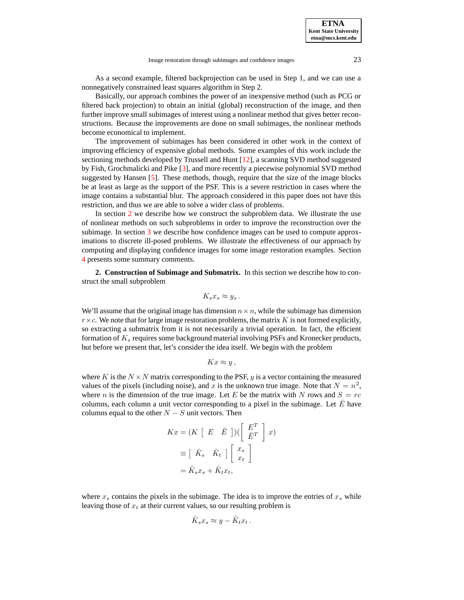As a second example, filtered backprojection can be used in Step 1, and we can use a nonnegatively constrained least squares algorithm in Step 2.

Basically, our approach combines the power of an inexpensive method (such as PCG or filtered back projection) to obtain an initial (global) reconstruction of the image, and then further improve small subimages of interest using a nonlinear method that gives better reconstructions. Because the improvements are done on small subimages, the nonlinear methods become economical to implement.

The improvement of subimages has been considered in other work in the context of improving efficiency of expensive global methods. Some examples of this work include the sectioning methods developed by Trussell and Hunt [\[12\]](#page-15-0), a scanning SVD method suggested by Fish, Grochmalicki and Pike [\[3\]](#page-15-1), and more recently a piecewise polynomial SVD method suggested by Hansen [\[5\]](#page-15-2). These methods, though, require that the size of the image blocks be at least as large as the support of the PSF. This is a severe restriction in cases where the image contains a substantial blur. The approach considered in this paper does not have this restriction, and thus we are able to solve a wider class of problems.

In section [2](#page-1-0) we describe how we construct the subproblem data. We illustrate the use of nonlinear methods on such subproblems in order to improve the reconstruction over the subimage. In section [3](#page-7-0) we describe how confidence images can be used to compute approximations to discrete ill-posed problems. We illustrate the effectiveness of our approach by computing and displaying confidence images for some image restoration examples. Section [4](#page-14-0) presents some summary comments.

<span id="page-1-0"></span>**2. Construction of Subimage and Submatrix.** In this section we describe how to construct the small subproblem

$$
K_s x_s \approx y_s.
$$

We'll assume that the original image has dimension  $n \times n$ , while the subimage has dimension  $r \times c$ . We note that for large image restoration problems, the matrix K is not formed explicitly, so extracting a submatrix from it is not necessarily a trivial operation. In fact, the efficient formation of  $K_s$  requires some background material involving PSFs and Kronecker products, but before we present that, let's consider the idea itself. We begin with the problem

$$
Kx \approx y,
$$

where K is the  $N \times N$  matrix corresponding to the PSF, y is a vector containing the measured values of the pixels (including noise), and x is the unknown true image. Note that  $N = n^2$ , where n is the dimension of the true image. Let E be the matrix with N rows and  $S = rc$ columns, each column a unit vector corresponding to a pixel in the subimage. Let  $\overline{E}$  have columns equal to the other  $N - S$  unit vectors. Then

$$
Kx = (K \begin{bmatrix} E & \bar{E} \end{bmatrix}) \begin{bmatrix} E^T \\ \bar{E}^T \end{bmatrix} x
$$

$$
\equiv \begin{bmatrix} \hat{K}_s & \hat{K}_t \end{bmatrix} \begin{bmatrix} x_s \\ x_t \end{bmatrix}
$$

$$
= \hat{K}_s x_s + \hat{K}_t x_t,
$$

where  $x_s$  contains the pixels in the subimage. The idea is to improve the entries of  $x_s$  while leaving those of  $x_t$  at their current values, so our resulting problem is

$$
\hat{K}_s x_s \approx y - \hat{K}_t x_t.
$$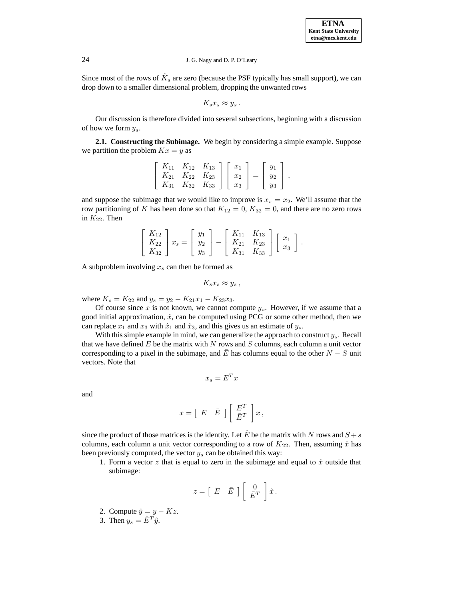Since most of the rows of  $\hat{K}_s$  are zero (because the PSF typically has small support), we can drop down to a smaller dimensional problem, dropping the unwanted rows

$$
K_s x_s \approx y_s.
$$

Our discussion is therefore divided into several subsections, beginning with a discussion of how we form  $y_s$ .

**2.1. Constructing the Subimage.** We begin by considering a simple example. Suppose we partition the problem  $Kx = y$  as

$$
\left[\begin{array}{ccc} K_{11} & K_{12} & K_{13} \\ K_{21} & K_{22} & K_{23} \\ K_{31} & K_{32} & K_{33} \end{array}\right] \left[\begin{array}{c} x_1 \\ x_2 \\ x_3 \end{array}\right] = \left[\begin{array}{c} y_1 \\ y_2 \\ y_3 \end{array}\right],
$$

and suppose the subimage that we would like to improve is  $x_s = x_2$ . We'll assume that the row partitioning of K has been done so that  $K_{12} = 0$ ,  $K_{32} = 0$ , and there are no zero rows in  $K_{22}$ . Then

$$
\begin{bmatrix} K_{12} \\ K_{22} \\ K_{32} \end{bmatrix} x_s = \begin{bmatrix} y_1 \\ y_2 \\ y_3 \end{bmatrix} - \begin{bmatrix} K_{11} & K_{13} \\ K_{21} & K_{23} \\ K_{31} & K_{33} \end{bmatrix} \begin{bmatrix} x_1 \\ x_3 \end{bmatrix}.
$$

A subproblem involving  $x_s$  can then be formed as

$$
K_s x_s \approx y_s ,
$$

where  $K_s = K_{22}$  and  $y_s = y_2 - K_{21}x_1 - K_{23}x_3$ .

Of course since  $x$  is not known, we cannot compute  $y_s$ . However, if we assume that a good initial approximation,  $\hat{x}$ , can be computed using PCG or some other method, then we can replace  $x_1$  and  $x_3$  with  $\hat{x}_1$  and  $\hat{x}_3$ , and this gives us an estimate of  $y_s$ .

With this simple example in mind, we can generalize the approach to construct  $y_s$ . Recall that we have defined  $E$  be the matrix with  $N$  rows and  $S$  columns, each column a unit vector corresponding to a pixel in the subimage, and E has columns equal to the other  $N - S$  unit vectors. Note that

$$
x_s=E^Tx
$$

and

$$
x = \left[ \begin{array}{cc} E & \bar{E} \end{array} \right] \left[ \begin{array}{c} E^T \\ \bar{E}^T \end{array} \right] x \,,
$$

since the product of those matrices is the identity. Let  $\hat{E}$  be the matrix with N rows and  $S + s$ columns, each column a unit vector corresponding to a row of  $K_{22}$ . Then, assuming  $\hat{x}$  has been previously computed, the vector  $y_s$  can be obtained this way:

1. Form a vector  $z$  that is equal to zero in the subimage and equal to  $\hat{x}$  outside that subimage:

$$
z = \begin{bmatrix} E & \bar{E} \end{bmatrix} \begin{bmatrix} 0 \\ \bar{E}^T \end{bmatrix} \hat{x}.
$$

2. Compute  $\hat{y} = y - Kz$ .

3. Then  $y_s = \hat{E}^T \hat{y}$ .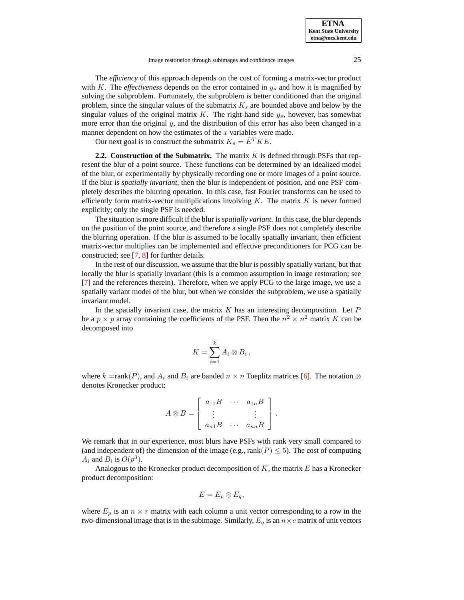Image restoration through subimages and confidence images 25

The *efficiency* of this approach depends on the cost of forming a matrix-vector product with K. The *effectiveness* depends on the error contained in  $y_s$  and how it is magnified by solving the subproblem. Fortunately, the subproblem is better conditioned than the original problem, since the singular values of the submatrix  $K_s$  are bounded above and below by the singular values of the original matrix  $K$ . The right-hand side  $y_s$ , however, has somewhat more error than the original  $y$ , and the distribution of this error has also been changed in a manner dependent on how the estimates of the  $x$  variables were made.

Our next goal is to construct the submatrix  $K_s = \hat{E}^T K E$ .

**2.2. Construction of the Submatrix.** The matrix K is defined through PSFs that represent the blur of a point source. These functions can be determined by an idealized model of the blur, or experimentally by physically recording one or more images of a point source. If the blur is *spatially invariant*, then the blur is independent of position, and one PSF completely describes the blurring operation. In this case, fast Fourier transforms can be used to efficiently form matrix-vector multiplications involving  $K$ . The matrix  $K$  is never formed explicitly; only the single PSF is needed.

The situation is more difficult if the blur is *spatially variant*. In this case, the blur depends on the position of the point source, and therefore a single PSF does not completely describe the blurring operation. If the blur is assumed to be locally spatially invariant, then efficient matrix-vector multiplies can be implemented and effective preconditioners for PCG can be constructed; see [\[7,](#page-15-3) [8\]](#page-15-4) for further details.

In the rest of our discussion, we assume that the blur is possibly spatially variant, but that locally the blur is spatially invariant (this is a common assumption in image restoration; see [\[7\]](#page-15-3) and the references therein). Therefore, when we apply PCG to the large image, we use a spatially variant model of the blur, but when we consider the subproblem, we use a spatially invariant model.

In the spatially invariant case, the matrix  $K$  has an interesting decomposition. Let  $P$ be a  $p \times p$  array containing the coefficients of the PSF. Then the  $n^2 \times n^2$  matrix K can be decomposed into

$$
K = \sum_{i=1}^{k} A_i \otimes B_i
$$

,

where k =rank(P), and  $A_i$  and  $B_i$  are banded  $n \times n$  Toeplitz matrices [\[6\]](#page-15-5). The notation  $\otimes$ denotes Kronecker product:

$$
A \otimes B = \left[ \begin{array}{ccc} a_{11}B & \cdots & a_{1n}B \\ \vdots & & \vdots \\ a_{n1}B & \cdots & a_{nn}B \end{array} \right].
$$

We remark that in our experience, most blurs have PSFs with rank very small compared to (and independent of) the dimension of the image (e.g., rank( $P$ )  $\leq$  5). The cost of computing  $A_i$  and  $B_i$  is  $O(p^3)$ .

Analogous to the Kronecker product decomposition of  $K$ , the matrix  $E$  has a Kronecker product decomposition:

$$
E=E_p\otimes E_q,
$$

where  $E_p$  is an  $n \times r$  matrix with each column a unit vector corresponding to a row in the two-dimensional image that is in the subimage. Similarly,  $E_q$  is an  $n \times c$  matrix of unit vectors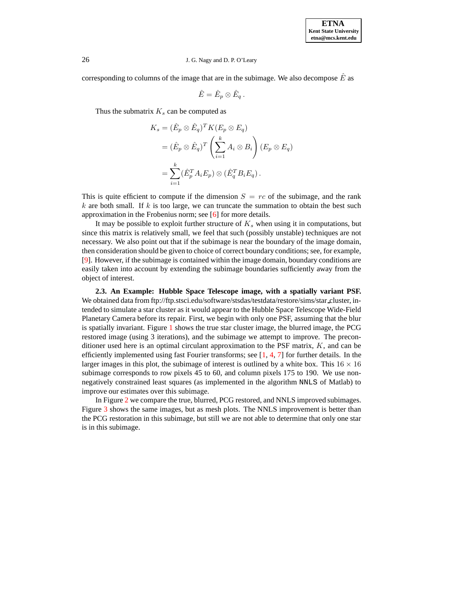corresponding to columns of the image that are in the subimage. We also decompose  $\overline{E}$  as

$$
\hat{E} = \hat{E}_p \otimes \hat{E}_q \, .
$$

Thus the submatrix  $K<sub>s</sub>$  can be computed as

$$
K_s = (\hat{E}_p \otimes \hat{E}_q)^T K(E_p \otimes E_q)
$$
  
=  $(\hat{E}_p \otimes \hat{E}_q)^T \left(\sum_{i=1}^k A_i \otimes B_i\right) (E_p \otimes E_q)$   
=  $\sum_{i=1}^k (\hat{E}_p^T A_i E_p) \otimes (\hat{E}_q^T B_i E_q).$ 

This is quite efficient to compute if the dimension  $S = rc$  of the subimage, and the rank  $k$  are both small. If k is too large, we can truncate the summation to obtain the best such approximation in the Frobenius norm; see [\[6\]](#page-15-5) for more details.

It may be possible to exploit further structure of  $K<sub>s</sub>$  when using it in computations, but since this matrix is relatively small, we feel that such (possibly unstable) techniques are not necessary. We also point out that if the subimage is near the boundary of the image domain, then consideration should be given to choice of correct boundary conditions; see, for example, [\[9\]](#page-15-6). However, if the subimage is contained within the image domain, boundary conditions are easily taken into account by extending the subimage boundaries sufficiently away from the object of interest.

<span id="page-4-0"></span>**2.3. An Example: Hubble Space Telescope image, with a spatially variant PSF.** We obtained data from ftp://ftp.stsci.edu/software/stsdas/testdata/restore/sims/star cluster, intended to simulate a star cluster as it would appear to the Hubble Space Telescope Wide-Field Planetary Camera before its repair. First, we begin with only one PSF, assuming that the blur is spatially invariant. Figure [1](#page-5-0) shows the true star cluster image, the blurred image, the PCG restored image (using 3 iterations), and the subimage we attempt to improve. The preconditioner used here is an optimal circulant approximation to the PSF matrix,  $K$ , and can be efficiently implemented using fast Fourier transforms; see  $[1, 4, 7]$  $[1, 4, 7]$  $[1, 4, 7]$  $[1, 4, 7]$  $[1, 4, 7]$  for further details. In the larger images in this plot, the subimage of interest is outlined by a white box. This  $16 \times 16$ subimage corresponds to row pixels 45 to 60, and column pixels 175 to 190. We use nonnegatively constrained least squares (as implemented in the algorithm NNLS of Matlab) to improve our estimates over this subimage.

In Figure [2](#page-5-1) we compare the true, blurred, PCG restored, and NNLS improved subimages. Figure [3](#page-6-0) shows the same images, but as mesh plots. The NNLS improvement is better than the PCG restoration in this subimage, but still we are not able to determine that only one star is in this subimage.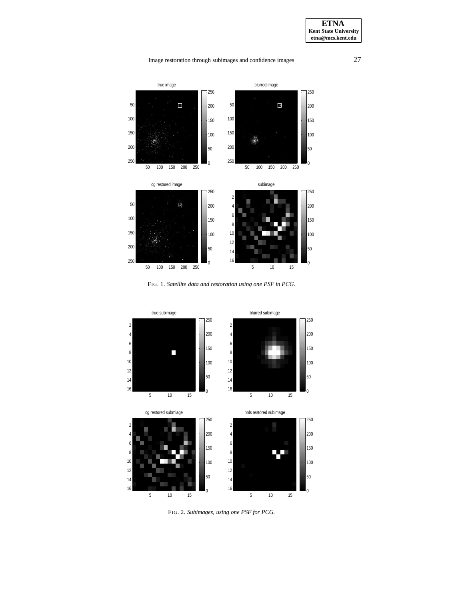# Image restoration through subimages and confidence images 27



FIG. 1. *Satellite data and restoration using one PSF in PCG.*

<span id="page-5-0"></span>

<span id="page-5-1"></span>FIG. 2. *Subimages, using one PSF for PCG.*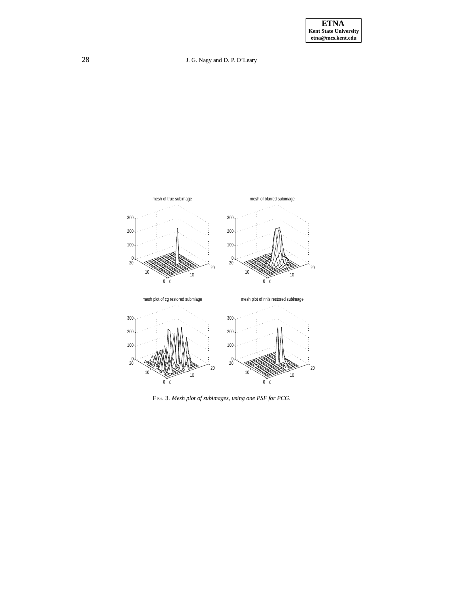

<span id="page-6-0"></span>FIG. 3. *Mesh plot of subimages, using one PSF for PCG.*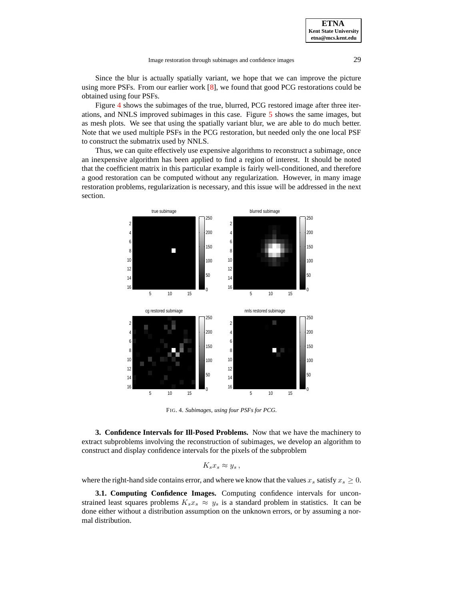Since the blur is actually spatially variant, we hope that we can improve the picture using more PSFs. From our earlier work [\[8\]](#page-15-4), we found that good PCG restorations could be obtained using four PSFs.

Figure [4](#page-7-1) shows the subimages of the true, blurred, PCG restored image after three iterations, and NNLS improved subimages in this case. Figure [5](#page-8-0) shows the same images, but as mesh plots. We see that using the spatially variant blur, we are able to do much better. Note that we used multiple PSFs in the PCG restoration, but needed only the one local PSF to construct the submatrix used by NNLS.

Thus, we can quite effectively use expensive algorithms to reconstruct a subimage, once an inexpensive algorithm has been applied to find a region of interest. It should be noted that the coefficient matrix in this particular example is fairly well-conditioned, and therefore a good restoration can be computed without any regularization. However, in many image restoration problems, regularization is necessary, and this issue will be addressed in the next section.



<span id="page-7-1"></span>FIG. 4. *Subimages, using four PSFs for PCG.*

<span id="page-7-0"></span>**3. Confidence Intervals for Ill-Posed Problems.** Now that we have the machinery to extract subproblems involving the reconstruction of subimages, we develop an algorithm to construct and display confidence intervals for the pixels of the subproblem

$$
K_s x_s \approx y_s,
$$

where the right-hand side contains error, and where we know that the values  $x_s$  satisfy  $x_s \geq 0$ .

**3.1. Computing Confidence Images.** Computing confidence intervals for unconstrained least squares problems  $K_s x_s \approx y_s$  is a standard problem in statistics. It can be done either without a distribution assumption on the unknown errors, or by assuming a normal distribution.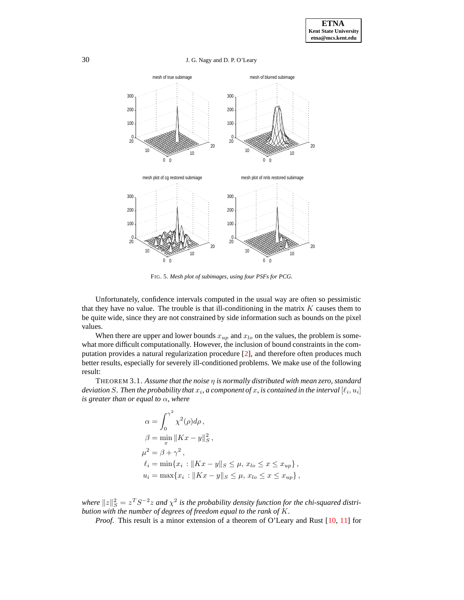30 J. G. Nagy and D. P. O'Leary



<span id="page-8-0"></span>FIG. 5. *Mesh plot of subimages, using four PSFs for PCG.*

Unfortunately, confidence intervals computed in the usual way are often so pessimistic that they have no value. The trouble is that ill-conditioning in the matrix  $K$  causes them to be quite wide, since they are not constrained by side information such as bounds on the pixel values.

When there are upper and lower bounds  $x_{up}$  and  $x_{lo}$  on the values, the problem is somewhat more difficult computationally. However, the inclusion of bound constraints in the computation provides a natural regularization procedure [\[2\]](#page-15-9), and therefore often produces much better results, especially for severely ill-conditioned problems. We make use of the following result:

THEOREM 3.1. *Assume that the noise* η *is normally distributed with mean zero, standard* deviation  $S.$  Then the probability that  $x_i$ , a component of  $x$ , is contained in the interval  $[\ell_i, u_i]$ *is greater than or equal to* α*, where*

$$
\alpha = \int_0^{\gamma^2} \chi^2(\rho) d\rho,
$$
  
\n
$$
\beta = \min_x ||Kx - y||_S^2,
$$
  
\n
$$
\mu^2 = \beta + \gamma^2,
$$
  
\n
$$
\ell_i = \min\{x_i : ||Kx - y||_S \le \mu, x_{lo} \le x \le x_{up}\},
$$
  
\n
$$
u_i = \max\{x_i : ||Kx - y||_S \le \mu, x_{lo} \le x \le x_{up}\},
$$

where  $\|z\|_S^2 = z^T S^{-2} z$  and  $\chi^2$  is the probability density function for the chi-squared distri*bution with the number of degrees of freedom equal to the rank of* K*.*

*Proof.* This result is a minor extension of a theorem of O'Leary and Rust [\[10,](#page-15-10) [11\]](#page-15-11) for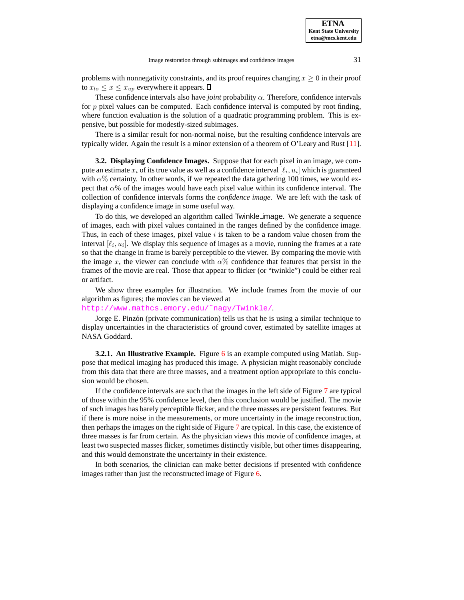**ETNA**

problems with nonnegativity constraints, and its proof requires changing  $x \geq 0$  in their proof to  $x_{lo} \leq x \leq x_{up}$  everywhere it appears.  $\Box$ 

These confidence intervals also have *joint* probability  $\alpha$ . Therefore, confidence intervals for p pixel values can be computed. Each confidence interval is computed by root finding, where function evaluation is the solution of a quadratic programming problem. This is expensive, but possible for modestly-sized subimages.

There is a similar result for non-normal noise, but the resulting confidence intervals are typically wider. Again the result is a minor extension of a theorem of O'Leary and Rust [\[11\]](#page-15-11).

**3.2. Displaying Confidence Images.** Suppose that for each pixel in an image, we compute an estimate  $x_i$  of its true value as well as a confidence interval  $[\ell_i, u_i]$  which is guaranteed with  $\alpha$ % certainty. In other words, if we repeated the data gathering 100 times, we would expect that  $\alpha$ % of the images would have each pixel value within its confidence interval. The collection of confidence intervals forms the *confidence image*. We are left with the task of displaying a confidence image in some useful way.

To do this, we developed an algorithm called Twinkle\_image. We generate a sequence of images, each with pixel values contained in the ranges defined by the confidence image. Thus, in each of these images, pixel value  $i$  is taken to be a random value chosen from the interval  $[\ell_i, u_i]$ . We display this sequence of images as a movie, running the frames at a rate so that the change in frame is barely perceptible to the viewer. By comparing the movie with the image x, the viewer can conclude with  $\alpha$ % confidence that features that persist in the frames of the movie are real. Those that appear to flicker (or "twinkle") could be either real or artifact.

We show three examples for illustration. We include frames from the movie of our algorithm as figures; the movies can be viewed at

## [http://www.mathcs.emory.edu/˜nagy/Twinkle/](http://www.mathcs.emory.edu/~nagy/Twinkle/).

Jorge E. Pinzón (private communication) tells us that he is using a similar technique to display uncertainties in the characteristics of ground cover, estimated by satellite images at NASA Goddard.

**3.2.1. An Illustrative Example.** Figure [6](#page-10-0) is an example computed using Matlab. Suppose that medical imaging has produced this image. A physician might reasonably conclude from this data that there are three masses, and a treatment option appropriate to this conclusion would be chosen.

If the confidence intervals are such that the images in the left side of Figure [7](#page-10-1) are typical of those within the 95% confidence level, then this conclusion would be justified. The movie of such images has barely perceptible flicker, and the three masses are persistent features. But if there is more noise in the measurements, or more uncertainty in the image reconstruction, then perhaps the images on the right side of Figure [7](#page-10-1) are typical. In this case, the existence of three masses is far from certain. As the physician views this movie of confidence images, at least two suspected masses flicker, sometimes distinctly visible, but other times disappearing, and this would demonstrate the uncertainty in their existence.

In both scenarios, the clinician can make better decisions if presented with confidence images rather than just the reconstructed image of Figure [6.](#page-10-0)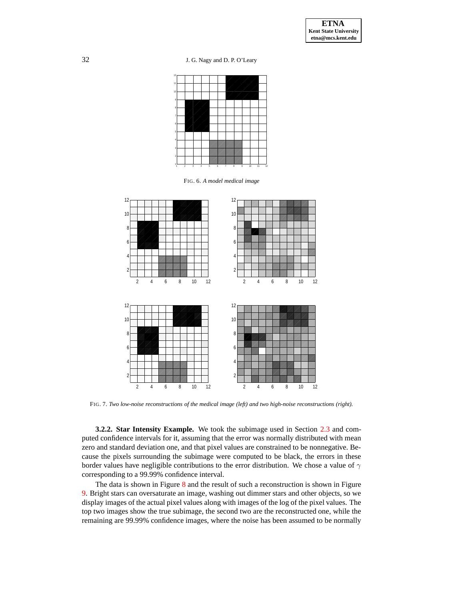

<span id="page-10-0"></span>FIG. 6. *A model medical image*



FIG. 7. *Two low-noise reconstructions of the medical image (left) and two high-noise reconstructions (right).*

<span id="page-10-1"></span>**3.2.2. Star Intensity Example.** We took the subimage used in Section [2.3](#page-4-0) and computed confidence intervals for it, assuming that the error was normally distributed with mean zero and standard deviation one, and that pixel values are constrained to be nonnegative. Because the pixels surrounding the subimage were computed to be black, the errors in these border values have negligible contributions to the error distribution. We chose a value of  $\gamma$ corresponding to a 99.99% confidence interval.

The data is shown in Figure [8](#page-11-0) and the result of such a reconstruction is shown in Figure [9.](#page-12-0) Bright stars can oversaturate an image, washing out dimmer stars and other objects, so we display images of the actual pixel values along with images of the log of the pixel values. The top two images show the true subimage, the second two are the reconstructed one, while the remaining are 99.99% confidence images, where the noise has been assumed to be normally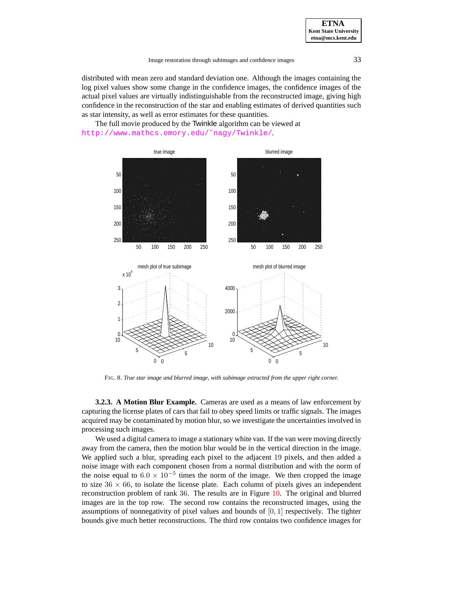distributed with mean zero and standard deviation one. Although the images containing the log pixel values show some change in the confidence images, the confidence images of the actual pixel values are virtually indistinguishable from the reconstructed image, giving high confidence in the reconstruction of the star and enabling estimates of derived quantities such as star intensity, as well as error estimates for these quantities.

The full movie produced by the Twinkle algorithm can be viewed at [http://www.mathcs.emory.edu/˜nagy/Twinkle/](http://www.mathcs.emory.edu/~nagy/Twinkle/).



FIG. 8. *True star image and blurred image, with subimage extracted from the upper right corner.*

<span id="page-11-0"></span>**3.2.3. A Motion Blur Example.** Cameras are used as a means of law enforcement by capturing the license plates of cars that fail to obey speed limits or traffic signals. The images acquired may be contaminated by motion blur, so we investigate the uncertainties involved in processing such images.

We used a digital camera to image a stationary white van. If the van were moving directly away from the camera, then the motion blur would be in the vertical direction in the image. We applied such a blur, spreading each pixel to the adjacent 19 pixels, and then added a noise image with each component chosen from a normal distribution and with the norm of the noise equal to  $6.0 \times 10^{-5}$  times the norm of the image. We then cropped the image to size  $36 \times 66$ , to isolate the license plate. Each column of pixels gives an independent reconstruction problem of rank 36. The results are in Figure [10.](#page-13-0) The original and blurred images are in the top row. The second row contains the reconstructed images, using the assumptions of nonnegativity of pixel values and bounds of  $[0, 1]$  respectively. The tighter bounds give much better reconstructions. The third row contains two confidence images for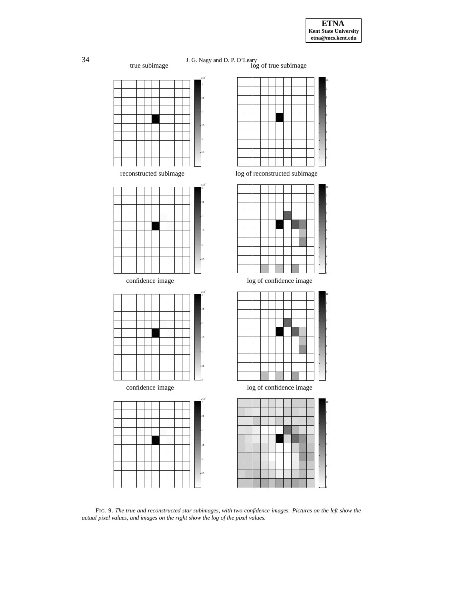









<span id="page-12-0"></span>FIG. 9. *The true and reconstructed star subimages, with two confidence images. Pictures on the left show the actual pixel values, and images on the right show the log of the pixel values.*

1.5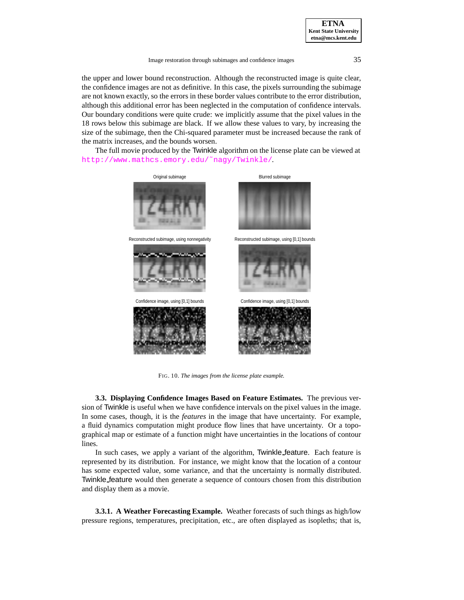Image restoration through subimages and confidence images 35

the upper and lower bound reconstruction. Although the reconstructed image is quite clear, the confidence images are not as definitive. In this case, the pixels surrounding the subimage are not known exactly, so the errors in these border values contribute to the error distribution, although this additional error has been neglected in the computation of confidence intervals. Our boundary conditions were quite crude: we implicitly assume that the pixel values in the 18 rows below this subimage are black. If we allow these values to vary, by increasing the size of the subimage, then the Chi-squared parameter must be increased because the rank of the matrix increases, and the bounds worsen.

The full movie produced by the Twinkle algorithm on the license plate can be viewed at [http://www.mathcs.emory.edu/˜nagy/Twinkle/](http://www.mathcs.emory.edu/~nagy/Twinkle/).



<span id="page-13-0"></span>FIG. 10. *The images from the license plate example.*

**3.3. Displaying Confidence Images Based on Feature Estimates.** The previous version of Twinkle is useful when we have confidence intervals on the pixel values in the image. In some cases, though, it is the *features* in the image that have uncertainty. For example, a fluid dynamics computation might produce flow lines that have uncertainty. Or a topographical map or estimate of a function might have uncertainties in the locations of contour lines.

In such cases, we apply a variant of the algorithm, Twinkle feature. Each feature is represented by its distribution. For instance, we might know that the location of a contour has some expected value, some variance, and that the uncertainty is normally distributed. Twinkle feature would then generate a sequence of contours chosen from this distribution and display them as a movie.

**3.3.1. A Weather Forecasting Example.** Weather forecasts of such things as high/low pressure regions, temperatures, precipitation, etc., are often displayed as isopleths; that is,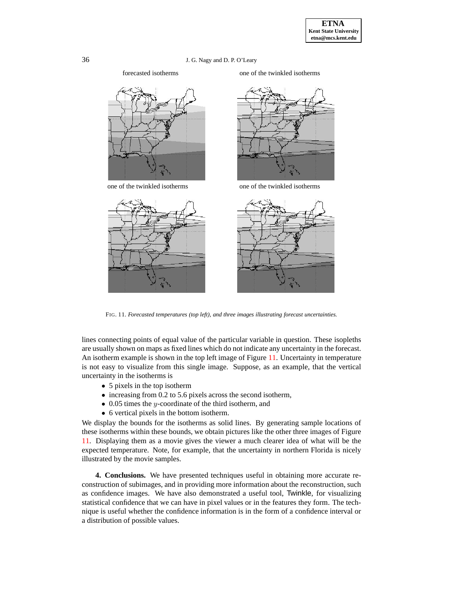





one of the twinkled isotherms one of the twinkled isotherms



FIG. 11. *Forecasted temperatures (top left), and three images illustrating forecast uncertainties.*

<span id="page-14-1"></span>lines connecting points of equal value of the particular variable in question. These isopleths are usually shown on maps as fixed lines which do not indicate any uncertainty in the forecast. An isotherm example is shown in the top left image of Figure [11.](#page-14-1) Uncertainty in temperature is not easy to visualize from this single image. Suppose, as an example, that the vertical uncertainty in the isotherms is

- 5 pixels in the top isotherm
- increasing from 0.2 to 5.6 pixels across the second isotherm,
- 0.05 times the *y*-coordinate of the third isotherm, and
- 6 vertical pixels in the bottom isotherm.

We display the bounds for the isotherms as solid lines. By generating sample locations of these isotherms within these bounds, we obtain pictures like the other three images of Figure [11.](#page-14-1) Displaying them as a movie gives the viewer a much clearer idea of what will be the expected temperature. Note, for example, that the uncertainty in northern Florida is nicely illustrated by the movie samples.

<span id="page-14-0"></span>**4. Conclusions.** We have presented techniques useful in obtaining more accurate reconstruction of subimages, and in providing more information about the reconstruction, such as confidence images. We have also demonstrated a useful tool, Twinkle, for visualizing statistical confidence that we can have in pixel values or in the features they form. The technique is useful whether the confidence information is in the form of a confidence interval or a distribution of possible values.